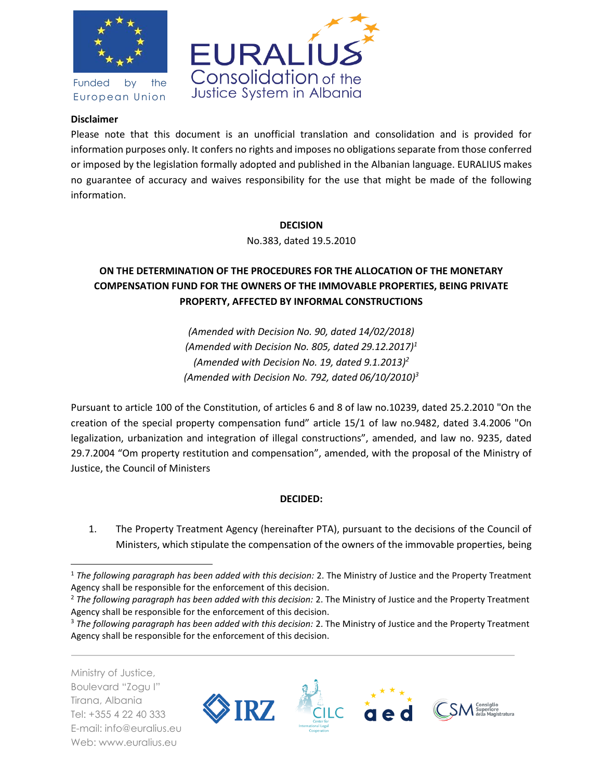

Funded by the European Union



## **Disclaimer**

Please note that this document is an unofficial translation and consolidation and is provided for information purposes only. It confers no rights and imposes no obligations separate from those conferred or imposed by the legislation formally adopted and published in the Albanian language. EURALIUS makes no guarantee of accuracy and waives responsibility for the use that might be made of the following information.

### **DECISION**

No.383, dated 19.5.2010

# **ON THE DETERMINATION OF THE PROCEDURES FOR THE ALLOCATION OF THE MONETARY COMPENSATION FUND FOR THE OWNERS OF THE IMMOVABLE PROPERTIES, BEING PRIVATE PROPERTY, AFFECTED BY INFORMAL CONSTRUCTIONS**

*(Amended with Decision No. 90, dated 14/02/2018) (Amended with Decision No. 805, dated 29.12.2017)<sup>1</sup> (Amended with Decision No. 19, dated 9.1.2013)<sup>2</sup> (Amended with Decision No. 792, dated 06/10/2010)<sup>3</sup>*

Pursuant to article 100 of the Constitution, of articles 6 and 8 of law no.10239, dated 25.2.2010 "On the creation of the special property compensation fund" article 15/1 of law no.9482, dated 3.4.2006 "On legalization, urbanization and integration of illegal constructions", amended, and law no. 9235, dated 29.7.2004 "Om property restitution and compensation", amended, with the proposal of the Ministry of Justice, the Council of Ministers

#### **DECIDED:**

1. The Property Treatment Agency (hereinafter PTA), pursuant to the decisions of the Council of Ministers, which stipulate the compensation of the owners of the immovable properties, being

Ministry of Justice, Boulevard "Zogu I" Tirana, Albania Tel: +355 4 22 40 333 E-mail: info@euralius.eu Web: www.euralius.eu

 $\overline{a}$ 



<sup>1</sup> *The following paragraph has been added with this decision:* 2. The Ministry of Justice and the Property Treatment Agency shall be responsible for the enforcement of this decision.

<sup>2</sup> *The following paragraph has been added with this decision:* 2. The Ministry of Justice and the Property Treatment Agency shall be responsible for the enforcement of this decision.

<sup>3</sup> *The following paragraph has been added with this decision:* 2. The Ministry of Justice and the Property Treatment Agency shall be responsible for the enforcement of this decision.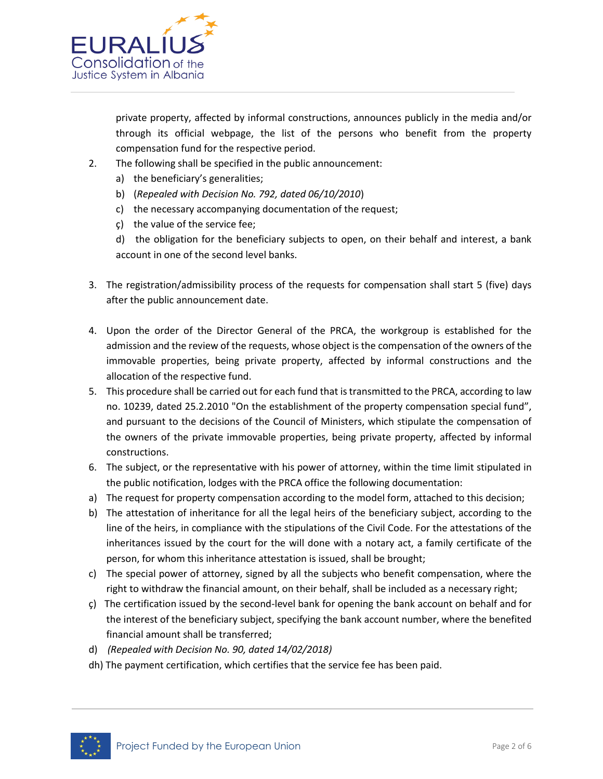

private property, affected by informal constructions, announces publicly in the media and/or through its official webpage, the list of the persons who benefit from the property compensation fund for the respective period.

- 2. The following shall be specified in the public announcement:
	- a) the beneficiary's generalities;
	- b) (*Repealed with Decision No. 792, dated 06/10/2010*)
	- c) the necessary accompanying documentation of the request;
	- ç) the value of the service fee;
	- d) the obligation for the beneficiary subjects to open, on their behalf and interest, a bank account in one of the second level banks.
- 3. The registration/admissibility process of the requests for compensation shall start 5 (five) days after the public announcement date.
- 4. Upon the order of the Director General of the PRCA, the workgroup is established for the admission and the review of the requests, whose object is the compensation of the owners of the immovable properties, being private property, affected by informal constructions and the allocation of the respective fund.
- 5. This procedure shall be carried out for each fund that is transmitted to the PRCA, according to law no. 10239, dated 25.2.2010 "On the establishment of the property compensation special fund", and pursuant to the decisions of the Council of Ministers, which stipulate the compensation of the owners of the private immovable properties, being private property, affected by informal constructions.
- 6. The subject, or the representative with his power of attorney, within the time limit stipulated in the public notification, lodges with the PRCA office the following documentation:
- a) The request for property compensation according to the model form, attached to this decision;
- b) The attestation of inheritance for all the legal heirs of the beneficiary subject, according to the line of the heirs, in compliance with the stipulations of the Civil Code. For the attestations of the inheritances issued by the court for the will done with a notary act, a family certificate of the person, for whom this inheritance attestation is issued, shall be brought;
- c) The special power of attorney, signed by all the subjects who benefit compensation, where the right to withdraw the financial amount, on their behalf, shall be included as a necessary right;
- ç) The certification issued by the second-level bank for opening the bank account on behalf and for the interest of the beneficiary subject, specifying the bank account number, where the benefited financial amount shall be transferred;
- d) *(Repealed with Decision No. 90, dated 14/02/2018)*
- dh) The payment certification, which certifies that the service fee has been paid.

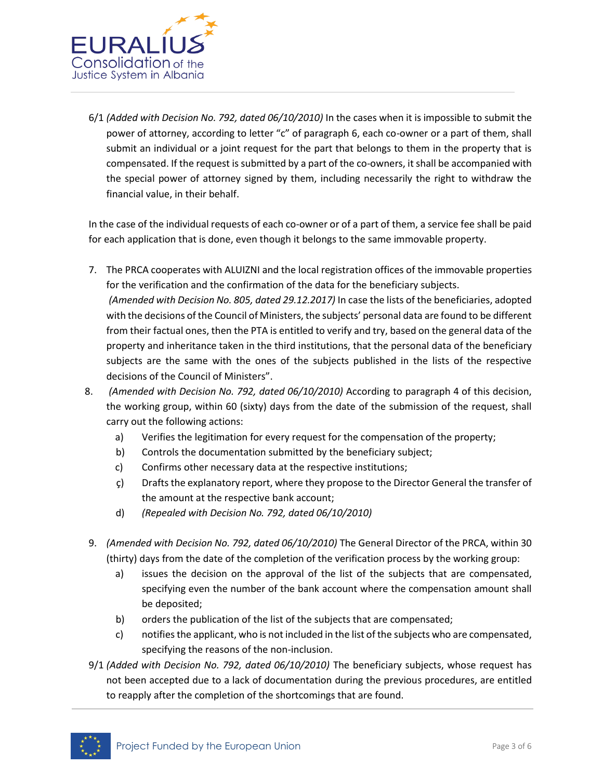

6/1 *(Added with Decision No. 792, dated 06/10/2010)* In the cases when it is impossible to submit the power of attorney, according to letter "c" of paragraph 6, each co-owner or a part of them, shall submit an individual or a joint request for the part that belongs to them in the property that is compensated. If the request is submitted by a part of the co-owners, it shall be accompanied with the special power of attorney signed by them, including necessarily the right to withdraw the financial value, in their behalf.

In the case of the individual requests of each co-owner or of a part of them, a service fee shall be paid for each application that is done, even though it belongs to the same immovable property.

- 7. The PRCA cooperates with ALUIZNI and the local registration offices of the immovable properties for the verification and the confirmation of the data for the beneficiary subjects. *(Amended with Decision No. 805, dated 29.12.2017)* In case the lists of the beneficiaries, adopted with the decisions of the Council of Ministers, the subjects' personal data are found to be different from their factual ones, then the PTA is entitled to verify and try, based on the general data of the property and inheritance taken in the third institutions, that the personal data of the beneficiary subjects are the same with the ones of the subjects published in the lists of the respective decisions of the Council of Ministers".
- 8. *(Amended with Decision No. 792, dated 06/10/2010)* According to paragraph 4 of this decision, the working group, within 60 (sixty) days from the date of the submission of the request, shall carry out the following actions:
	- a) Verifies the legitimation for every request for the compensation of the property;
	- b) Controls the documentation submitted by the beneficiary subject;
	- c) Confirms other necessary data at the respective institutions;
	- ç) Drafts the explanatory report, where they propose to the Director General the transfer of the amount at the respective bank account;
	- d) *(Repealed with Decision No. 792, dated 06/10/2010)*
- 9. *(Amended with Decision No. 792, dated 06/10/2010)* The General Director of the PRCA, within 30 (thirty) days from the date of the completion of the verification process by the working group:
	- a) issues the decision on the approval of the list of the subjects that are compensated, specifying even the number of the bank account where the compensation amount shall be deposited;
	- b) orders the publication of the list of the subjects that are compensated;
	- c) notifies the applicant, who is not included in the list of the subjects who are compensated, specifying the reasons of the non-inclusion.
- 9/1 *(Added with Decision No. 792, dated 06/10/2010)* The beneficiary subjects, whose request has not been accepted due to a lack of documentation during the previous procedures, are entitled to reapply after the completion of the shortcomings that are found.

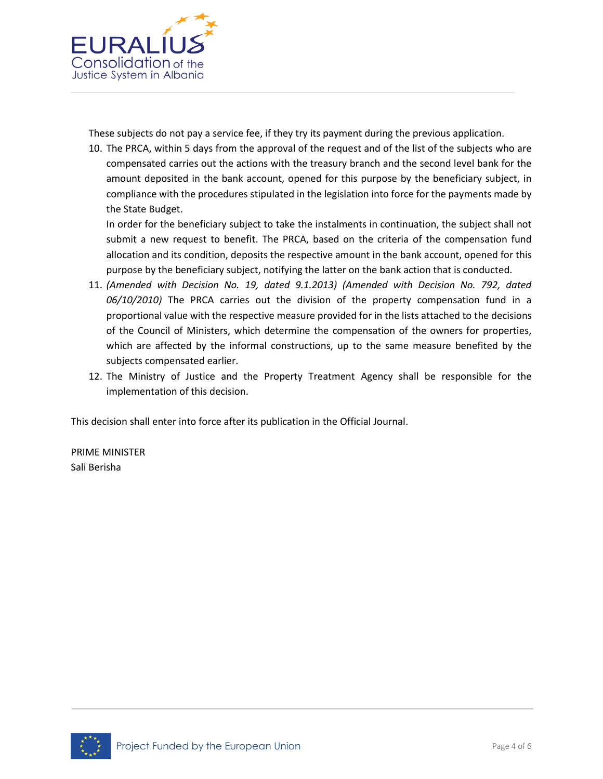

These subjects do not pay a service fee, if they try its payment during the previous application.

10. The PRCA, within 5 days from the approval of the request and of the list of the subjects who are compensated carries out the actions with the treasury branch and the second level bank for the amount deposited in the bank account, opened for this purpose by the beneficiary subject, in compliance with the procedures stipulated in the legislation into force for the payments made by the State Budget.

In order for the beneficiary subject to take the instalments in continuation, the subject shall not submit a new request to benefit. The PRCA, based on the criteria of the compensation fund allocation and its condition, deposits the respective amount in the bank account, opened for this purpose by the beneficiary subject, notifying the latter on the bank action that is conducted.

- 11. *(Amended with Decision No. 19, dated 9.1.2013) (Amended with Decision No. 792, dated 06/10/2010)* The PRCA carries out the division of the property compensation fund in a proportional value with the respective measure provided for in the lists attached to the decisions of the Council of Ministers, which determine the compensation of the owners for properties, which are affected by the informal constructions, up to the same measure benefited by the subjects compensated earlier.
- 12. The Ministry of Justice and the Property Treatment Agency shall be responsible for the implementation of this decision.

This decision shall enter into force after its publication in the Official Journal.

PRIME MINISTER Sali Berisha

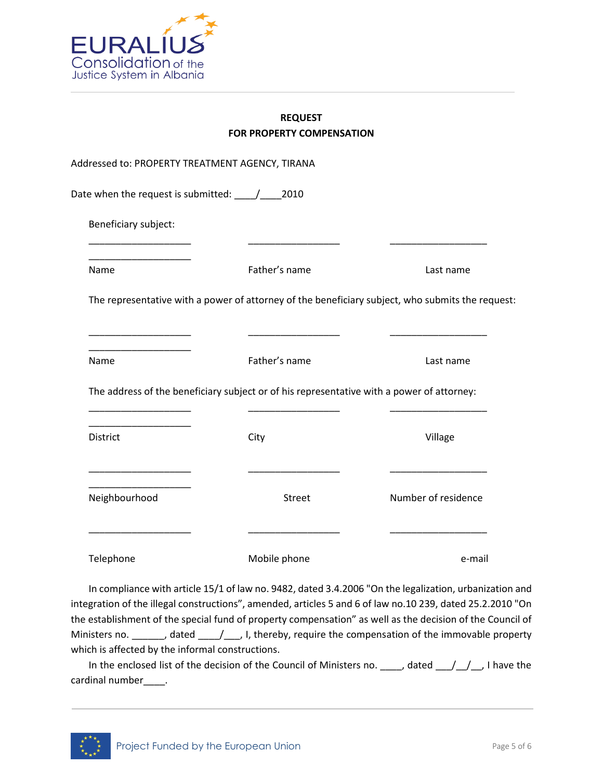

## **REQUEST FOR PROPERTY COMPENSATION**

|                      | Addressed to: PROPERTY TREATMENT AGENCY, TIRANA                                                  |                     |
|----------------------|--------------------------------------------------------------------------------------------------|---------------------|
|                      |                                                                                                  |                     |
| Beneficiary subject: |                                                                                                  |                     |
| Name                 | Father's name                                                                                    | Last name           |
|                      | The representative with a power of attorney of the beneficiary subject, who submits the request: |                     |
| Name                 | Father's name                                                                                    | Last name           |
|                      | The address of the beneficiary subject or of his representative with a power of attorney:        |                     |
| District             | City                                                                                             | Village             |
| Neighbourhood        | Street                                                                                           | Number of residence |
| Telephone            | Mobile phone                                                                                     | e-mail              |

In compliance with article 15/1 of law no. 9482, dated 3.4.2006 "On the legalization, urbanization and integration of the illegal constructions", amended, articles 5 and 6 of law no.10 239, dated 25.2.2010 "On the establishment of the special fund of property compensation" as well as the decision of the Council of Ministers no. \_\_\_\_\_\_, dated \_\_\_\_/\_\_\_, I, thereby, require the compensation of the immovable property which is affected by the informal constructions.

In the enclosed list of the decision of the Council of Ministers no. \_\_\_\_, dated \_\_\_/\_\_/\_, I have the cardinal number\_\_\_\_.